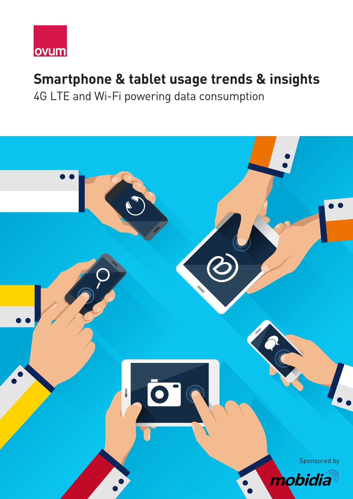

# **Smartphone & tablet usage trends & insights**

4G LTE and Wi-Fi powering data consumption

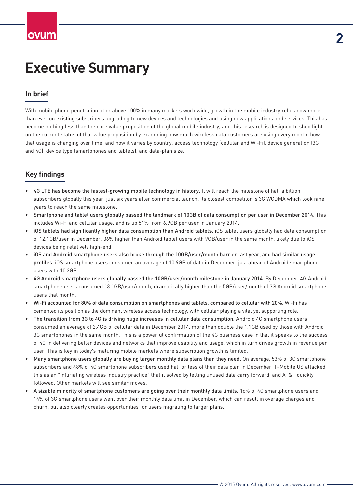# **Executive Summary**

### **In brief**

With mobile phone penetration at or above 100% in many markets worldwide, growth in the mobile industry relies now more than ever on existing subscribers upgrading to new devices and technologies and using new applications and services. This has become nothing less than the core value proposition of the global mobile industry, and this research is designed to shed light on the current status of that value proposition by examining how much wireless data customers are using every month, how that usage is changing over time, and how it varies by country, access technology (cellular and Wi-Fi), device generation (3G and 4G), device type (smartphones and tablets), and data-plan size.

### **Key findings**

- 4G LTE has become the fastest-growing mobile technology in history. It will reach the milestone of half a billion subscribers globally this year, just six years after commercial launch. Its closest competitor is 3G WCDMA which took nine years to reach the same milestone.
- Smartphone and tablet users globally passed the landmark of 10GB of data consumption per user in December 2014. This includes Wi-Fi and cellular usage, and is up 51% from 6.9GB per user in January 2014.
- iOS tablets had significantly higher data consumption than Android tablets. iOS tablet users globally had data consumption of 12.1GB/user in December, 36% higher than Android tablet users with 9GB/user in the same month, likely due to iOS devices being relatively high-end.
- iOS and Android smartphone users also broke through the 10GB/user/month barrier last year, and had similar usage profiles. iOS smartphone users consumed an average of 10.9GB of data in December, just ahead of Android smartphone users with 10.3GB.
- 4G Android smartphone users globally passed the 10GB/user/month milestone in January 2014. By December, 4G Android smartphone users consumed 13.1GB/user/month, dramatically higher than the 5GB/user/month of 3G Android smartphone users that month.
- Wi-Fi accounted for 80% of data consumption on smartphones and tablets, compared to cellular with 20%. Wi-Fi has cemented its position as the dominant wireless access technology, with cellular playing a vital yet supporting role.
- The transition from 3G to 4G is driving huge increases in cellular data consumption. Android 4G smartphone users consumed an average of 2.4GB of cellular data in December 2014, more than double the 1.1GB used by those with Android 3G smartphones in the same month. This is a powerful confirmation of the 4G business case in that it speaks to the success of 4G in delivering better devices and networks that improve usability and usage, which in turn drives growth in revenue per user. This is key in today's maturing mobile markets where subscription growth is limited.
- Many smartphone users globally are buying larger monthly data plans than they need. On average, 53% of 3G smartphone subscribers and 48% of 4G smartphone subscribers used half or less of their data plan in December. T-Mobile US attacked this as an "infuriating wireless industry practice" that it solved by letting unused data carry forward, and AT&T quickly followed. Other markets will see similar moves.
- A sizable minority of smartphone customers are going over their monthly data limits. 16% of 4G smartphone users and 14% of 3G smartphone users went over their monthly data limit in December, which can result in overage charges and churn, but also clearly creates opportunities for users migrating to larger plans.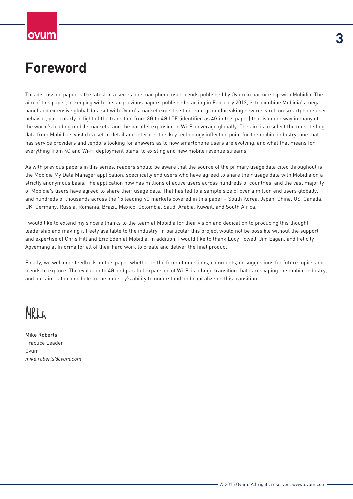# **Foreword**

This discussion paper is the latest in a series on smartphone user trends published by Ovum in partnership with Mobidia. The aim of this paper, in keeping with the six previous papers published starting in February 2012, is to combine Mobidia's megapanel and extensive global data set with Ovum's market expertise to create groundbreaking new research on smartphone user behavior, particularly in light of the transition from 3G to 4G LTE (identified as 4G in this paper) that is under way in many of the world's leading mobile markets, and the parallel explosion in Wi-Fi coverage globally. The aim is to select the most telling data from Mobidia's vast data set to detail and interpret this key technology inflection point for the mobile industry, one that has service providers and vendors looking for answers as to how smartphone users are evolving, and what that means for everything from 4G and Wi-Fi deployment plans, to existing and new mobile revenue streams.

As with previous papers in this series, readers should be aware that the source of the primary usage data cited throughout is the Mobidia My Data Manager application, specifically end users who have agreed to share their usage data with Mobidia on a strictly anonymous basis. The application now has millions of active users across hundreds of countries, and the vast majority of Mobidia's users have agreed to share their usage data. That has led to a sample size of over a million end users globally, and hundreds of thousands across the 15 leading 4G markets covered in this paper – South Korea, Japan, China, US, Canada, UK, Germany, Russia, Romania, Brazil, Mexico, Colombia, Saudi Arabia, Kuwait, and South Africa.

I would like to extend my sincere thanks to the team at Mobidia for their vision and dedication to producing this thought leadership and making it freely available to the industry. In particular this project would not be possible without the support and expertise of Chris Hill and Eric Eden at Mobidia. In addition, I would like to thank Lucy Powell, Jim Eagan, and Felicity Agyemang at Informa for all of their hard work to create and deliver the final product.

Finally, we welcome feedback on this paper whether in the form of questions, comments, or suggestions for future topics and trends to explore. The evolution to 4G and parallel expansion of Wi-Fi is a huge transition that is reshaping the mobile industry, and our aim is to contribute to the industry's ability to understand and capitalize on this transition.

# MRLL

Mike Roberts Practice Leader Ovum *mike.roberts@ovum.com*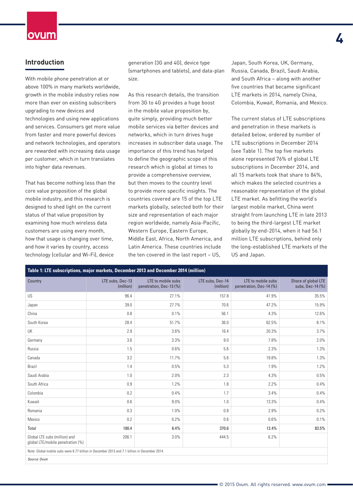#### **Introduction**

With mobile phone penetration at or above 100% in many markets worldwide, growth in the mobile industry relies now more than ever on existing subscribers upgrading to new devices and technologies and using new applications and services. Consumers get more value from faster and more powerful devices and network technologies, and operators are rewarded with increasing data usage per customer, which in turn translates into higher data revenues.

That has become nothing less than the core value proposition of the global mobile industry, and this research is designed to shed light on the current status of that value proposition by examining how much wireless data customers are using every month, how that usage is changing over time, and how it varies by country, access technology (cellular and Wi-Fi), device

generation (3G and 4G), device type (smartphones and tablets), and data-plan size.

As this research details, the transition from 3G to 4G provides a huge boost in the mobile value proposition by, quite simply, providing much better mobile services via better devices and networks, which in turn drives huge increases in subscriber data usage. The importance of this trend has helped to define the geographic scope of this research which is global at times to provide a comprehensive overview, but then moves to the country level to provide more specific insights. The countries covered are 15 of the top LTE markets globally, selected both for their size and representation of each major region worldwide, namely Asia-Pacific, Western Europe, Eastern Europe, Middle East, Africa, North America, and Latin America. These countries include the ten covered in the last report – US,

Japan, South Korea, UK, Germany, Russia, Canada, Brazil, Saudi Arabia, and South Africa – along with another five countries that became significant LTE markets in 2014, namely China, Colombia, Kuwait, Romania, and Mexico. **4**

The current status of LTE subscriptions and penetration in these markets is detailed below, ordered by number of LTE subscriptions in December 2014 (see Table 1). The top five markets alone represented 76% of global LTE subscriptions in December 2014, and all 15 markets took that share to 84%, which makes the selected countries a reasonable representation of the global LTE market. As befitting the world's largest mobile market, China went straight from launching LTE in late 2013 to being the third-largest LTE market globally by end-2014, when it had 56.1 million LTE subscriptions, behind only the long-established LTE markets of the US and Japan.

| Table 1: LTE subscriptions, major markets, December 2013 and December 2014 (million)          |                               |                                               |                               |                                               |                                         |  |  |  |  |  |  |
|-----------------------------------------------------------------------------------------------|-------------------------------|-----------------------------------------------|-------------------------------|-----------------------------------------------|-----------------------------------------|--|--|--|--|--|--|
| Country                                                                                       | LTE subs, Dec-13<br>(million) | LTE to mobile subs<br>penetration, Dec-13 (%) | LTE subs, Dec-14<br>(million) | LTE to mobile subs<br>penetration, Dec-14 (%) | Share of global LTE<br>subs, Dec-14 (%) |  |  |  |  |  |  |
| US                                                                                            | 96.4                          | 27.1%                                         | 157.8                         | 41.9%                                         | 35.5%                                   |  |  |  |  |  |  |
| Japan                                                                                         | 39.0                          | 27.7%                                         | 70.6                          | 47.2%                                         | 15.9%                                   |  |  |  |  |  |  |
| China                                                                                         | 0.8                           | 0.1%                                          | 56.1                          | 4.3%                                          | 12.6%                                   |  |  |  |  |  |  |
| South Korea                                                                                   | 28.4                          | 51.7%                                         | 36.0                          | 62.5%                                         | 8.1%                                    |  |  |  |  |  |  |
| UK                                                                                            | 2.9                           | 3.6%                                          | 16.4                          | 20.3%                                         | 3.7%                                    |  |  |  |  |  |  |
| Germany                                                                                       | 3.6                           | 3.3%                                          | 9.0                           | 7.8%                                          | 2.0%                                    |  |  |  |  |  |  |
| Russia                                                                                        | 1.5                           | 0.6%                                          | 5.6                           | 2.3%                                          | 1.3%                                    |  |  |  |  |  |  |
| Canada                                                                                        | 3.2                           | 11.7%                                         | 5.6                           | 19.8%                                         | 1.3%                                    |  |  |  |  |  |  |
| Brazil                                                                                        | 1.4                           | 0.5%                                          | 5.3                           | 1.9%                                          | 1.2%                                    |  |  |  |  |  |  |
| Saudi Arabia                                                                                  | 1.0                           | 2.0%                                          | 2.3                           | 4.3%                                          | 0.5%                                    |  |  |  |  |  |  |
| South Africa                                                                                  | 0.9                           | 1.2%                                          | 1.8                           | 2.2%                                          | 0.4%                                    |  |  |  |  |  |  |
| Colombia                                                                                      | 0.2                           | 0.4%                                          | 1.7                           | 3.4%                                          | 0.4%                                    |  |  |  |  |  |  |
| Kuwait                                                                                        | 0.6                           | 9.0%                                          | 1.0                           | 13.3%                                         | 0.4%                                    |  |  |  |  |  |  |
| Romania                                                                                       | 0.3                           | 1.0%                                          | 0.8                           | 2.9%                                          | 0.2%                                    |  |  |  |  |  |  |
| Mexico                                                                                        | 0.2                           | 0.2%                                          | 0.6                           | 0.6%                                          | 0.1%                                    |  |  |  |  |  |  |
| Total                                                                                         | 180.4                         | 6.4%                                          | 370.6                         | 12.4%                                         | 83.5%                                   |  |  |  |  |  |  |
| Global LTE subs (million) and<br>global LTE/mobile penetration (%)                            | 206.1                         | 3.0%                                          | 444.5                         | 6.2%                                          |                                         |  |  |  |  |  |  |
| Note: Global mobile subs were 6.77 billion in December 2013 and 7.1 billion in December 2014. |                               |                                               |                               |                                               |                                         |  |  |  |  |  |  |
| Source: Ovum                                                                                  |                               |                                               |                               |                                               |                                         |  |  |  |  |  |  |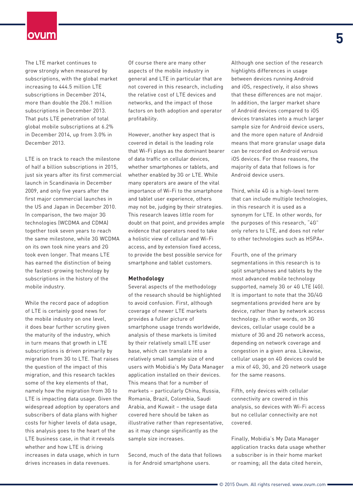The LTE market continues to grow strongly when measured by subscriptions, with the global market increasing to 444.5 million LTE subscriptions in December 2014, more than double the 206.1 million subscriptions in December 2013. That puts LTE penetration of total global mobile subscriptions at 6.2% in December 2014, up from 3.0% in December 2013.

LTE is on track to reach the milestone of half a billion subscriptions in 2015, just six years after its first commercial launch in Scandinavia in December 2009, and only five years after the first major commercial launches in the US and Japan in December 2010. In comparison, the two major 3G technologies (WCDMA and CDMA) together took seven years to reach the same milestone, while 3G WCDMA on its own took nine years and 2G took even longer. That means LTE has earned the distinction of being the fastest-growing technology by subscriptions in the history of the mobile industry.

While the record pace of adoption of LTE is certainly good news for the mobile industry on one level, it does bear further scrutiny given the maturity of the industry, which in turn means that growth in LTE subscriptions is driven primarily by migration from 3G to LTE. That raises the question of the impact of this migration, and this research tackles some of the key elements of that, namely how the migration from 3G to LTE is impacting data usage. Given the widespread adoption by operators and subscribers of data plans with higher costs for higher levels of data usage, this analysis goes to the heart of the LTE business case, in that it reveals whether and how LTE is driving increases in data usage, which in turn drives increases in data revenues.

Of course there are many other aspects of the mobile industry in general and LTE in particular that are not covered in this research, including the relative cost of LTE devices and networks, and the impact of those factors on both adoption and operator profitability.

However, another key aspect that is covered in detail is the leading role that Wi-Fi plays as the dominant bearer of data traffic on cellular devices, whether smartphones or tablets, and whether enabled by 3G or LTE. While many operators are aware of the vital importance of Wi-Fi to the smartphone and tablet user experience, others may not be, judging by their strategies. This research leaves little room for doubt on that point, and provides ample evidence that operators need to take a holistic view of cellular and Wi-Fi access, and by extension fixed access, to provide the best possible service for smartphone and tablet customers.

#### **Methodology**

Several aspects of the methodology of the research should be highlighted to avoid confusion. First, although coverage of newer LTE markets provides a fuller picture of smartphone usage trends worldwide, analysis of these markets is limited by their relatively small LTE user base, which can translate into a relatively small sample size of end users with Mobidia's My Data Manager application installed on their devices. This means that for a number of markets – particularly China, Russia, Romania, Brazil, Colombia, Saudi Arabia, and Kuwait – the usage data covered here should be taken as illustrative rather than representative, as it may change significantly as the sample size increases.

Second, much of the data that follows is for Android smartphone users.

Although one section of the research highlights differences in usage between devices running Android and iOS, respectively, it also shows that these differences are not major. In addition, the larger market share of Android devices compared to iOS devices translates into a much larger sample size for Android device users, and the more open nature of Android means that more granular usage data can be recorded on Android versus iOS devices. For those reasons, the majority of data that follows is for Android device users.

Third, while 4G is a high-level term that can include multiple technologies, in this research it is used as a synonym for LTE. In other words, for the purposes of this research, "4G" only refers to LTE, and does not refer to other technologies such as HSPA+.

Fourth, one of the primary segmentations in this research is to split smartphones and tablets by the most advanced mobile technology supported, namely 3G or 4G LTE (4G). It is important to note that the 3G/4G segmentations provided here are by device, rather than by network access technology. In other words, on 3G devices, cellular usage could be a mixture of 3G and 2G network access, depending on network coverage and congestion in a given area. Likewise, cellular usage on 4G devices could be a mix of 4G, 3G, and 2G network usage for the same reasons.

Fifth, only devices with cellular connectivity are covered in this analysis, so devices with Wi-Fi access but no cellular connectivity are not covered.

Finally, Mobidia's My Data Manager application tracks data usage whether a subscriber is in their home market or roaming; all the data cited herein,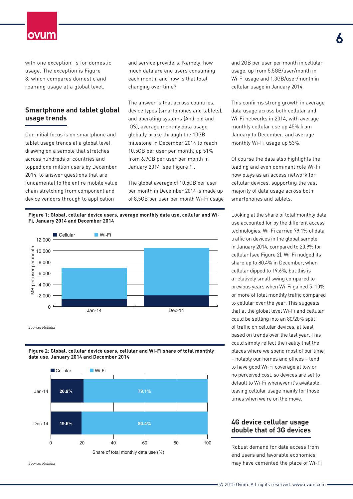with one exception, is for domestic usage. The exception is Figure 8, which compares domestic and roaming usage at a global level.

#### **Smartphone and tablet global usage trends**

Our initial focus is on smartphone and tablet usage trends at a global level, drawing on a sample that stretches across hundreds of countries and topped one million users by December 2014, to answer questions that are fundamental to the entire mobile value chain stretching from component and device vendors through to application

and service providers. Namely, how much data are end users consuming each month, and how is that total changing over time?

The answer is that across countries, device types (smartphones and tablets), and operating systems (Android and iOS), average monthly data usage globally broke through the 10GB milestone in December 2014 to reach 10.5GB per user per month, up 51% from 6.9GB per user per month in January 2014 (see Figure 1).

The global average of 10.5GB per user per month in December 2014 is made up of 8.5GB per user per month Wi-Fi usage





*Source: Mobidia*





*Source: Mobidia*

and 2GB per user per month in cellular usage, up from 5.5GB/user/month in Wi-Fi usage and 1.3GB/user/month in cellular usage in January 2014.

This confirms strong growth in average data usage across both cellular and Wi-Fi networks in 2014, with average monthly cellular use up 45% from January to December, and average monthly Wi-Fi usage up 53%.

Of course the data also highlights the leading and even dominant role Wi-Fi now plays as an access network for cellular devices, supporting the vast majority of data usage across both smartphones and tablets.

Looking at the share of total monthly data use accounted for by the different access technologies, Wi-Fi carried 79.1% of data traffic on devices in the global sample in January 2014, compared to 20.9% for cellular (see Figure 2). Wi-Fi nudged its share up to 80.4% in December, when cellular dipped to 19.6%, but this is a relatively small swing compared to previous years when Wi-Fi gained 5–10% or more of total monthly traffic compared to cellular over the year. This suggests that at the global level Wi-Fi and cellular could be settling into an 80/20% split of traffic on cellular devices, at least based on trends over the last year. This could simply reflect the reality that the places where we spend most of our time – notably our homes and offices – tend to have good Wi-Fi coverage at low or no perceived cost, so devices are set to default to Wi-Fi whenever it's available, leaving cellular usage mainly for those times when we're on the move.

#### **4G device cellular usage double that of 3G devices**

Robust demand for data access from end users and favorable economics may have cemented the place of Wi-Fi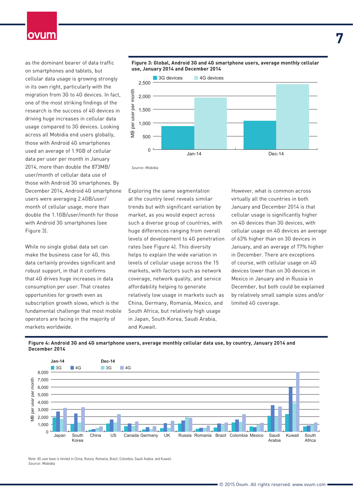as the dominant bearer of data traffic on smartphones and tablets, but cellular data usage is growing strongly in its own right, particularly with the migration from 3G to 4G devices. In fact, one of the most striking findings of the research is the success of 4G devices in driving huge increases in cellular data usage compared to 3G devices. Looking across all Mobidia end users globally, those with Android 4G smartphones used an average of 1.9GB of cellular data per user per month in January 2014, more than double the 873MB/ user/month of cellular data use of those with Android 3G smartphones. By December 2014, Android 4G smartphone users were averaging 2.4GB/user/ month of cellular usage, more than double the 1.1GB/user/month for those with Android 3G smartphones (see Figure 3).

While no single global data set can make the business case for 4G, this data certainly provides significant and robust support, in that it confirms that 4G drives huge increases in data consumption per user. That creates opportunities for growth even as subscription growth slows, which is the fundamental challenge that most mobile operators are facing in the majority of markets worldwide.





*Source: Mobidia*

Exploring the same segmentation at the country level reveals similar trends but with significant variation by market, as you would expect across such a diverse group of countries, with huge differences ranging from overall levels of development to 4G penetration rates (see Figure 4). This diversity helps to explain the wide variation in levels of cellular usage across the 15 markets, with factors such as network coverage, network quality, and service affordability helping to generate relatively low usage in markets such as China, Germany, Romania, Mexico, and South Africa, but relatively high usage in Japan, South Korea, Saudi Arabia, and Kuwait.

However, what is common across virtually all the countries in both January and December 2014 is that cellular usage is significantly higher on 4G devices than 3G devices, with cellular usage on 4G devices an average of 63% higher than on 3G devices in January, and an average of 77% higher in December. There are exceptions of course, with cellular usage on 4G devices lower than on 3G devices in Mexico in January and in Russia in December, but both could be explained by relatively small sample sizes and/or limited 4G coverage.

**Figure 4: Android 3G and 4G smartphone users, average monthly cellular data use, by country, January 2014 and December 2014**



Note: 4G user base is limited in China, Russia, Romania, Brazil, Colombia, Saudi Arabia, and Kuwait. *Source: Mobidia*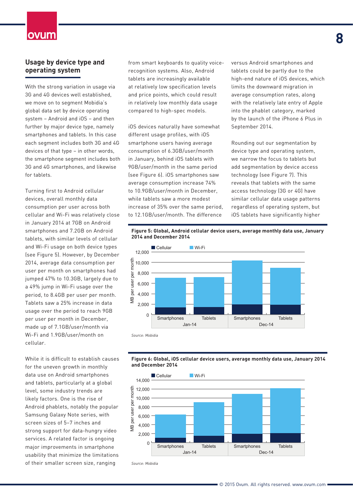#### **Usage by device type and operating system**

With the strong variation in usage via 3G and 4G devices well established, we move on to segment Mobidia's global data set by device operating system – Android and iOS – and then further by major device type, namely smartphones and tablets. In this case each segment includes both 3G and 4G devices of that type – in other words, the smartphone segment includes both 3G and 4G smartphones, and likewise for tablets.

Turning first to Android cellular devices, overall monthly data consumption per user across both cellular and Wi-Fi was relatively close in January 2014 at 7GB on Android smartphones and 7.2GB on Android tablets, with similar levels of cellular and Wi-Fi usage on both device types (see Figure 5). However, by December 2014, average data consumption per user per month on smartphones had jumped 47% to 10.3GB, largely due to a 49% jump in Wi-Fi usage over the period, to 8.4GB per user per month. Tablets saw a 25% increase in data usage over the period to reach 9GB per user per month in December, made up of 7.1GB/user/month via Wi-Fi and 1.9GB/user/month on cellular.

While it is difficult to establish causes for the uneven growth in monthly data use on Android smartphones and tablets, particularly at a global level, some industry trends are likely factors. One is the rise of Android phablets, notably the popular Samsung Galaxy Note series, with screen sizes of 5–7 inches and strong support for data-hungry video services. A related factor is ongoing major improvements in smartphone usability that minimize the limitations of their smaller screen size, ranging

from smart keyboards to quality voicerecognition systems. Also, Android tablets are increasingly available at relatively low specification levels and price points, which could result in relatively low monthly data usage compared to high-spec models.

iOS devices naturally have somewhat different usage profiles, with iOS smartphone users having average consumption of 6.3GB/user/month in January, behind iOS tablets with 9GB/user/month in the same period (see Figure 6). iOS smartphones saw average consumption increase 74% to 10.9GB/user/month in December, while tablets saw a more modest increase of 35% over the same period, to 12.1GB/user/month. The difference

versus Android smartphones and tablets could be partly due to the high-end nature of iOS devices, which limits the downward migration in average consumption rates, along with the relatively late entry of Apple into the phablet category, marked by the launch of the iPhone 6 Plus in September 2014.

Rounding out our segmentation by device type and operating system, we narrow the focus to tablets but add segmentation by device access technology (see Figure 7). This reveals that tablets with the same access technology (3G or 4G) have similar cellular data usage patterns regardless of operating system, but iOS tablets have significantly higher

#### **Figure 5: Global, Android cellular device users, average monthly data use, January 2014 and December 2014**







*Source: Mobidia*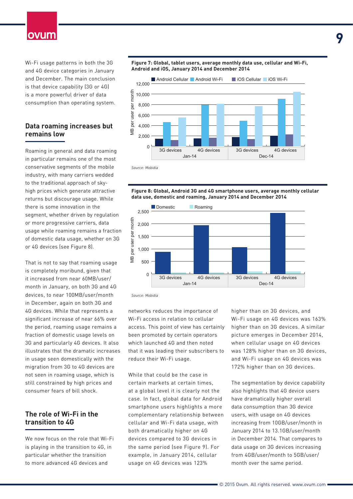Wi-Fi usage patterns in both the 3G and 4G device categories in January and December. The main conclusion is that device capability (3G or 4G) is a more powerful driver of data consumption than operating system.

#### **Data roaming increases but remains low**

Roaming in general and data roaming in particular remains one of the most conservative segments of the mobile industry, with many carriers wedded to the traditional approach of skyhigh prices which generate attractive returns but discourage usage. While there is some innovation in the segment, whether driven by regulation or more progressive carriers, data usage while roaming remains a fraction of domestic data usage, whether on 3G or 4G devices (see Figure 8).

That is not to say that roaming usage is completely moribund, given that it increased from near 60MB/user/ month in January, on both 3G and 4G devices, to near 100MB/user/month in December, again on both 3G and 4G devices. While that represents a significant increase of near 66% over the period, roaming usage remains a fraction of domestic usage levels on 3G and particularly 4G devices. It also illustrates that the dramatic increases in usage seen domestically with the migration from 3G to 4G devices are not seen in roaming usage, which is still constrained by high prices and consumer fears of bill shock.

#### **The role of Wi-Fi in the transition to 4G**

We now focus on the role that Wi-Fi is playing in the transition to 4G, in particular whether the transition to more advanced 4G devices and



#### **Figure 8: Global, Android 3G and 4G smartphone users, average monthly cellular data use, domestic and roaming, January 2014 and December 2014**



*Source: Mobidia*

networks reduces the importance of Wi-Fi access in relation to cellular access. This point of view has certainly been promoted by certain operators which launched 4G and then noted that it was leading their subscribers to reduce their Wi-Fi usage.

While that could be the case in certain markets at certain times, at a global level it is clearly not the case. In fact, global data for Android smartphone users highlights a more complementary relationship between cellular and Wi-Fi data usage, with both dramatically higher on 4G devices compared to 3G devices in the same period (see Figure 9). For example, in January 2014, cellular usage on 4G devices was 123%

higher than on 3G devices, and Wi-Fi usage on 4G devices was 163% higher than on 3G devices. A similar picture emerges in December 2014, when cellular usage on 4G devices was 128% higher than on 3G devices, and Wi-Fi usage on 4G devices was 172% higher than on 3G devices.

The segmentation by device capability also highlights that 4G device users have dramatically higher overall data consumption than 3G device users, with usage on 4G devices increasing from 10GB/user/month in January 2014 to 13.1GB/user/month in December 2014. That compares to data usage on 3G devices increasing from 4GB/user/month to 5GB/user/ month over the same period.

#### **Figure 7: Global, tablet users, average monthly data use, cellular and Wi-Fi, Android and iOS, January 2014 and December 2014**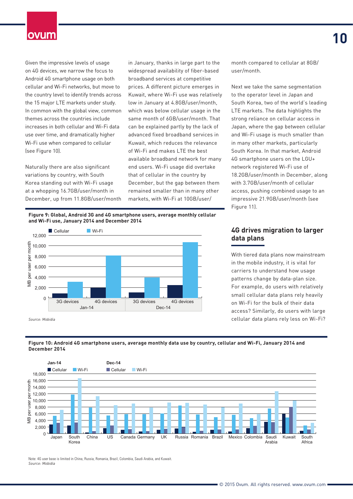Given the impressive levels of usage on 4G devices, we narrow the focus to Android 4G smartphone usage on both cellular and Wi-Fi networks, but move to the country level to identify trends across the 15 major LTE markets under study. In common with the global view, common themes across the countries include increases in both cellular and Wi-Fi data use over time, and dramatically higher Wi-Fi use when compared to cellular (see Figure 10).

Naturally there are also significant variations by country, with South Korea standing out with Wi-Fi usage at a whopping 16.7GB/user/month in December, up from 11.8GB/user/month in January, thanks in large part to the widespread availability of fiber-based broadband services at competitive prices. A different picture emerges in Kuwait, where Wi-Fi use was relatively low in January at 4.8GB/user/month, which was below cellular usage in the same month of 6GB/user/month. That can be explained partly by the lack of advanced fixed broadband services in Kuwait, which reduces the relevance of Wi-Fi and makes LTE the best available broadband network for many end users. Wi-Fi usage did overtake that of cellular in the country by December, but the gap between them remained smaller than in many other markets, with Wi-Fi at 10GB/user/

**Figure 9: Global, Android 3G and 4G smartphone users, average monthly cellular and Wi-Fi use, January 2014 and December 2014**



*Source: Mobidia*

With tiered data plans now mainstream in the mobile industry, it is vital for carriers to understand how usage

patterns change by data-plan size. For example, do users with relatively small cellular data plans rely heavily on Wi-Fi for the bulk of their data access? Similarly, do users with large cellular data plans rely less on Wi-Fi?

month compared to cellular at 8GB/

Next we take the same segmentation to the operator level in Japan and South Korea, two of the world's leading LTE markets. The data highlights the strong reliance on cellular access in Japan, where the gap between cellular and Wi-Fi usage is much smaller than in many other markets, particularly South Korea. In that market, Android 4G smartphone users on the LGU+ network registered Wi-Fi use of

18.2GB/user/month in December, along with 3.7GB/user/month of cellular access, pushing combined usage to an impressive 21.9GB/user/month (see

**4G drives migration to larger** 

user/month.

Figure 11).

**data plans**





Note: 4G user base is limited in China, Russia, Romania, Brazil, Colombia, Saudi Arabia, and Kuwait. *Source: Mobidia*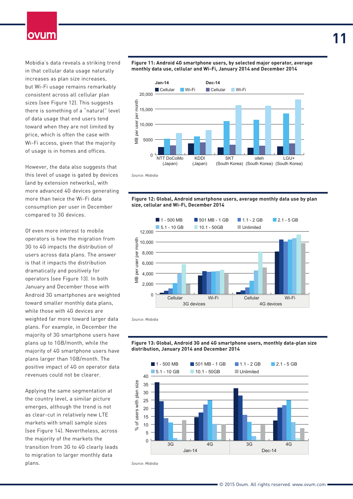Mobidia's data reveals a striking trend in that cellular data usage naturally increases as plan size increases, but Wi-Fi usage remains remarkably consistent across all cellular plan sizes (see Figure 12). This suggests there is something of a "natural" level of data usage that end users tend toward when they are not limited by price, which is often the case with Wi-Fi access, given that the majority of usage is in homes and offices.

However, the data also suggests that this level of usage is gated by devices (and by extension networks), with more advanced 4G devices generating more than twice the Wi-Fi data consumption per user in December compared to 3G devices.

Of even more interest to mobile operators is how the migration from 3G to 4G impacts the distribution of users across data plans. The answer is that it impacts the distribution dramatically and positively for operators (see Figure 13). In both January and December those with Android 3G smartphones are weighted toward smaller monthly data plans, while those with 4G devices are weighted far more toward larger data plans. For example, in December the majority of 3G smartphone users have plans up to 1GB/month, while the majority of 4G smartphone users have plans larger than 1GB/month. The positive impact of 4G on operator data revenues could not be clearer.

Applying the same segmentation at the country level, a similar picture emerges, although the trend is not as clear-cut in relatively new LTE markets with small sample sizes (see Figure 14). Nevertheless, across the majority of the markets the transition from 3G to 4G clearly leads to migration to larger monthly data plans.

**Figure 11: Android 4G smartphone users, by selected major operator, average monthly data use, cellular and Wi-Fi, January 2014 and December 2014**



*Source: Mobidia*





*Source: Mobidia*





Source: Mobidia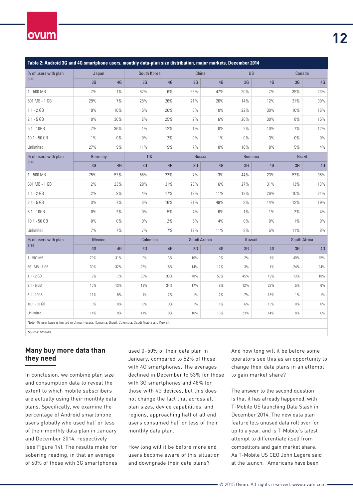# ovum

| Table 2: Android 3G and 4G smartphone users, monthly data-plan size distribution, major markets, December 2014 |         |       |                |             |       |              |       |           |       |               |  |  |
|----------------------------------------------------------------------------------------------------------------|---------|-------|----------------|-------------|-------|--------------|-------|-----------|-------|---------------|--|--|
| % of users with plan<br>size                                                                                   | Japan   |       |                | South Korea |       | China        |       | <b>US</b> |       | Canada        |  |  |
|                                                                                                                | 3G      | 4G    | 3 <sub>G</sub> | $4G$        | 3G    | 4G           | 3G    | 4G        | 3G    | 4G            |  |  |
| 1 - 500 MB                                                                                                     | 7%      | 1%    | 52%            | 6%          | 63%   | 47%          | 20%   | 7%        | 39%   | 23%           |  |  |
| 501 MB - 1 GB                                                                                                  | 29%     | 7%    | 28%            | 26%         | 21%   | 26%          | 14%   | 12%       | 31%   | 30%           |  |  |
| $1.1 - 2 GB$                                                                                                   | 19%     | 16%   | 5%             | 20%         | $6\%$ | 10%          | 22%   | 30%       | 10%   | 16%           |  |  |
| $2.1 - 5 GB$                                                                                                   | 10%     | 30%   | 2%             | 25%         | $2\%$ | $6\%$        | 26%   | 30%       | $8\%$ | 15%           |  |  |
| $5.1 - 10GB$                                                                                                   | 7%      | 36%   | $1\%$          | 12%         | $1\%$ | $0\%$        | 2%    | 10%       | 7%    | 12%           |  |  |
| 10.1 - 50 GB                                                                                                   | $1\%$   | $0\%$ | $0\%$          | $2\%$       | $0\%$ | $1\%$        | $0\%$ | 3%        | $0\%$ | $0\%$         |  |  |
| Unlimited                                                                                                      | 27%     | $9\%$ | 11%            | $9\%$       | $7\%$ | 10%          | 16%   | 8%        | 5%    | $4\%$         |  |  |
| % of users with plan<br>size                                                                                   | Germany |       |                | UK          |       | Russia       |       | Romania   |       | <b>Brazil</b> |  |  |
|                                                                                                                | 3G      | 4G    | 3 <sub>G</sub> | 4G          | 3G    | 4G           | 3G    | 4G        | 3G    | 4G            |  |  |
| $1 - 500$ MB                                                                                                   | 75%     | 52%   | 56%            | 22%         | 7%    | 3%           | 44%   | 23%       | 52%   | 35%           |  |  |
| 501 MB - 1 GB                                                                                                  | 12%     | 23%   | 29%            | 31%         | 23%   | 16%          | 27%   | 31%       | 13%   | 13%           |  |  |
| $1.1 - 2 GB$                                                                                                   | 2%      | 9%    | 4%             | 17%         | 18%   | 11%          | 12%   | 26%       | 10%   | 21%           |  |  |
| $2.1 - 5 GB$                                                                                                   | 3%      | 7%    | 3%             | 16%         | 31%   | 49%          | 8%    | 14%       | 12%   | 19%           |  |  |
| $5.1 - 10GB$                                                                                                   | $0\%$   | 2%    | $0\%$          | 5%          | 4%    | 6%           | 1%    | $1\%$     | 2%    | $4\%$         |  |  |
| 10.1 - 50 GB                                                                                                   | $0\%$   | $0\%$ | $0\%$          | $2\%$       | 5%    | 4%           | $0\%$ | $0\%$     | $1\%$ | $0\%$         |  |  |
| Unlimited                                                                                                      | 7%      | 7%    | 7%             | 7%          | 12%   | 11%          | 8%    | 5%        | 11%   | 8%            |  |  |
| % of users with plan<br>size                                                                                   | Mexico  |       |                | Colombia    |       | Saudi Arabia |       | Kuwait    |       | South Africa  |  |  |
|                                                                                                                | 3G      | 4G    | 3 <sub>G</sub> | 4G          | 3G    | 4G           | 3G    | 4G        | 3G    | 4G            |  |  |
| $1 - 500 MB$                                                                                                   | 29%     | 31%   | 9%             | 3%          | 10%   | 9%           | 2%    | $1\%$     | 49%   | 45%           |  |  |
| 501 MB - 1 GB                                                                                                  | 30%     | 32%   | 25%            | 15%         | 14%   | 12%          | 3%    | 1%        | 24%   | 24%           |  |  |
| $1.1 - 2 GB$                                                                                                   | 9%      | 7%    | 35%            | 33%         | 48%   | 53%          | 45%   | 19%       | 13%   | 18%           |  |  |
| $2.1 - 5 GB$                                                                                                   | 10%     | 13%   | 19%            | 34%         | 17%   | 9%           | 12%   | 32%       | 5%    | $6\%$         |  |  |
| $5.1 - 10GB$                                                                                                   | 12%     | 8%    | $1\%$          | 7%          | $1\%$ | $2\%$        | 7%    | 18%       | $1\%$ | $1\%$         |  |  |
| $10.1 - 50$ GB                                                                                                 | $0\%$   | $0\%$ | $0\%$          | $0\%$       | $1\%$ | $1\%$        | 6%    | 15%       | $0\%$ | $0\%$         |  |  |
| Unlimited                                                                                                      | 11%     | 8%    | 11%            | 9%          | 10%   | 15%          | 23%   | 14%       | $8\%$ | $6\%$         |  |  |
| Note: 4G user base is limited in China, Russia, Romania, Brazil, Colombia, Saudi Arabia and Kuwait.            |         |       |                |             |       |              |       |           |       |               |  |  |
| Source: Mobidia                                                                                                |         |       |                |             |       |              |       |           |       |               |  |  |

**Many buy more data than they need**

In conclusion, we combine plan size and consumption data to reveal the extent to which mobile subscribers are actually using their monthly data plans. Specifically, we examine the percentage of Android smartphone users globally who used half or less of their monthly data plan in January and December 2014, respectively (see Figure 14). The results make for sobering reading, in that an average of 60% of those with 3G smartphones used 0–50% of their data plan in January, compared to 52% of those with 4G smartphones. The averages declined in December to 53% for those with 3G smartphones and 48% for those with 4G devices, but this does not change the fact that across all plan sizes, device capabilities, and regions, approaching half of all end users consumed half or less of their monthly data plan.

How long will it be before more end users become aware of this situation and downgrade their data plans?

And how long will it be before some operators see this as an opportunity to change their data plans in an attempt to gain market share?

The answer to the second question is that it has already happened, with T-Mobile US launching Data Stash in December 2014. The new data plan feature lets unused data roll over for up to a year, and is T-Mobile's latest attempt to differentiate itself from competitors and gain market share. As T-Mobile US CEO John Legere said at the launch, "Americans have been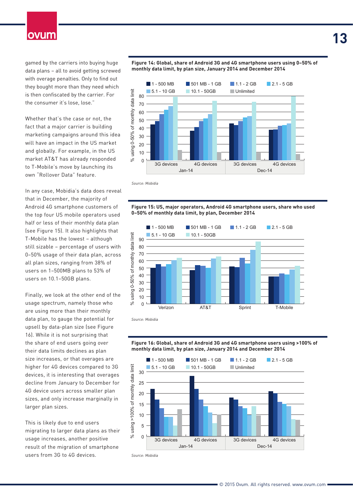gamed by the carriers into buying huge data plans – all to avoid getting screwed with overage penalties. Only to find out they bought more than they need which is then confiscated by the carrier. For the consumer it's lose, lose."

Whether that's the case or not, the fact that a major carrier is building marketing campaigns around this idea will have an impact in the US market and globally. For example, in the US market AT&T has already responded to T-Mobile's move by launching its own "Rollover Data" feature.

In any case, Mobidia's data does reveal that in December, the majority of Android 4G smartphone customers of the top four US mobile operators used half or less of their monthly data plan (see Figure 15). It also highlights that T-Mobile has the lowest – although still sizable – percentage of users with 0–50% usage of their data plan, across all plan sizes, ranging from 38% of users on 1–500MB plans to 53% of users on 10.1–50GB plans.

Finally, we look at the other end of the usage spectrum, namely those who are using more than their monthly data plan, to gauge the potential for upsell by data-plan size (see Figure 16). While it is not surprising that the share of end users going over their data limits declines as plan size increases, or that overages are higher for 4G devices compared to 3G devices, it is interesting that overages decline from January to December for 4G device users across smaller plan sizes, and only increase marginally in larger plan sizes.

This is likely due to end users migrating to larger data plans as their usage increases, another positive result of the migration of smartphone users from 3G to 4G devices.



*Source: Mobidia*

**Figure 15: US, major operators, Android 4G smartphone users, share who used 0–50% of monthly data limit, by plan, December 2014**



*Source: Mobidia*





**Figure 14: Global, share of Android 3G and 4G smartphone users using 0–50% of monthly data limit, by plan size, January 2014 and December 2014**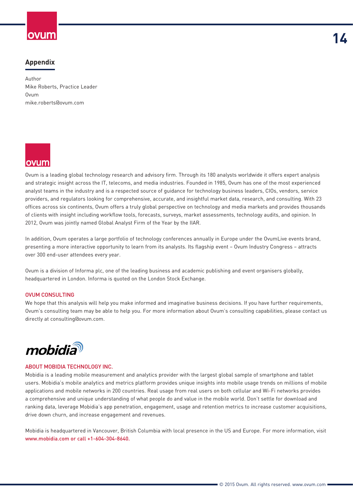### **Appendix**

Author Mike Roberts, Practice Leader Ovum mike.roberts@ovum.com



Ovum is a leading global technology research and advisory firm. Through its 180 analysts worldwide it offers expert analysis and strategic insight across the IT, telecoms, and media industries. Founded in 1985, Ovum has one of the most experienced analyst teams in the industry and is a respected source of guidance for technology business leaders, CIOs, vendors, service providers, and regulators looking for comprehensive, accurate, and insightful market data, research, and consulting. With 23 offices across six continents, Ovum offers a truly global perspective on technology and media markets and provides thousands of clients with insight including workflow tools, forecasts, surveys, market assessments, technology audits, and opinion. In 2012, Ovum was jointly named Global Analyst Firm of the Year by the IIAR.

In addition, Ovum operates a large portfolio of technology conferences annually in Europe under the OvumLive events brand, presenting a more interactive opportunity to learn from its analysts. Its flagship event – Ovum Industry Congress – attracts over 300 end-user attendees every year.

Ovum is a division of Informa plc, one of the leading business and academic publishing and event organisers globally, headquartered in London. Informa is quoted on the London Stock Exchange.

#### OVUM CONSULTING

We hope that this analysis will help you make informed and imaginative business decisions. If you have further requirements, Ovum's consulting team may be able to help you. For more information about Ovum's consulting capabilities, please contact us directly at [consulting@ovum.com](mailto:consulting@ovum.com).



#### ABOUT MOBIDIA TECHNOLOGY INC.

Mobidia is a leading mobile measurement and analytics provider with the largest global sample of smartphone and tablet users. Mobidia's mobile analytics and metrics platform provides unique insights into mobile usage trends on millions of mobile applications and mobile networks in 200 countries. Real usage from real users on both cellular and Wi-Fi networks provides a comprehensive and unique understanding of what people do and value in the mobile world. Don't settle for download and ranking data, leverage Mobidia's app penetration, engagement, usage and retention metrics to increase customer acquisitions, drive down churn, and increase engagement and revenues.

Mobidia is headquartered in Vancouver, British Columbia with local presence in the US and Europe. For more information, visit [www.mobidia.com](http://www.mobidia.com) or call +1-604-304-8640.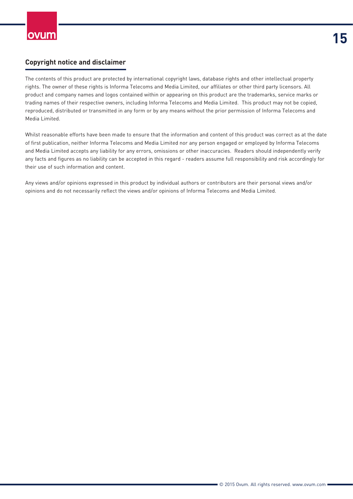### **Copyright notice and disclaimer**

The contents of this product are protected by international copyright laws, database rights and other intellectual property rights. The owner of these rights is Informa Telecoms and Media Limited, our affiliates or other third party licensors. All product and company names and logos contained within or appearing on this product are the trademarks, service marks or trading names of their respective owners, including Informa Telecoms and Media Limited. This product may not be copied, reproduced, distributed or transmitted in any form or by any means without the prior permission of Informa Telecoms and Media Limited.

Whilst reasonable efforts have been made to ensure that the information and content of this product was correct as at the date of first publication, neither Informa Telecoms and Media Limited nor any person engaged or employed by Informa Telecoms and Media Limited accepts any liability for any errors, omissions or other inaccuracies. Readers should independently verify any facts and figures as no liability can be accepted in this regard - readers assume full responsibility and risk accordingly for their use of such information and content.

Any views and/or opinions expressed in this product by individual authors or contributors are their personal views and/or opinions and do not necessarily reflect the views and/or opinions of Informa Telecoms and Media Limited.